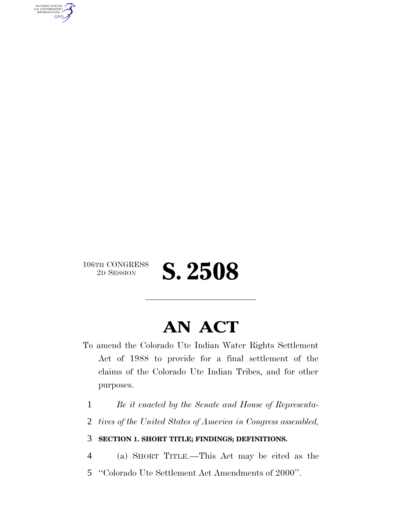AUTHENTICATED<br>U.S. GOVERNMENT<br>INFORMATION **GPO** 



# **AN ACT**

- To amend the Colorado Ute Indian Water Rights Settlement Act of 1988 to provide for a final settlement of the claims of the Colorado Ute Indian Tribes, and for other purposes.
	- 1 *Be it enacted by the Senate and House of Representa-*
	- 2 *tives of the United States of America in Congress assembled,*

### 3 **SECTION 1. SHORT TITLE; FINDINGS; DEFINITIONS.**

- 4 (a) SHORT TITLE.—This Act may be cited as the
- 5 ''Colorado Ute Settlement Act Amendments of 2000''.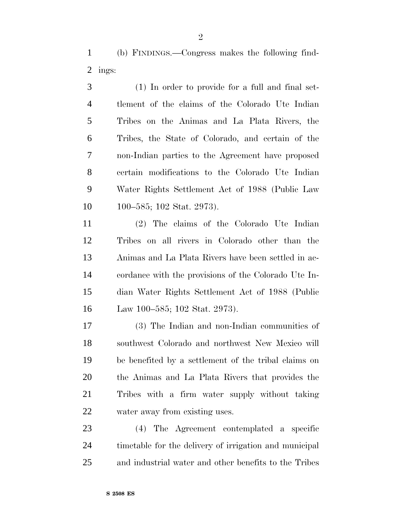(b) FINDINGS.—Congress makes the following find-ings:

 (1) In order to provide for a full and final set- tlement of the claims of the Colorado Ute Indian Tribes on the Animas and La Plata Rivers, the Tribes, the State of Colorado, and certain of the non-Indian parties to the Agreement have proposed certain modifications to the Colorado Ute Indian Water Rights Settlement Act of 1988 (Public Law 100–585; 102 Stat. 2973).

 (2) The claims of the Colorado Ute Indian Tribes on all rivers in Colorado other than the Animas and La Plata Rivers have been settled in ac- cordance with the provisions of the Colorado Ute In- dian Water Rights Settlement Act of 1988 (Public Law 100–585; 102 Stat. 2973).

 (3) The Indian and non-Indian communities of southwest Colorado and northwest New Mexico will be benefited by a settlement of the tribal claims on the Animas and La Plata Rivers that provides the Tribes with a firm water supply without taking water away from existing uses.

 (4) The Agreement contemplated a specific timetable for the delivery of irrigation and municipal and industrial water and other benefits to the Tribes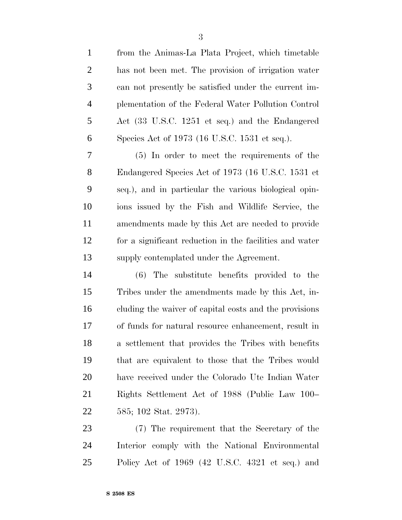from the Animas-La Plata Project, which timetable has not been met. The provision of irrigation water can not presently be satisfied under the current im- plementation of the Federal Water Pollution Control Act (33 U.S.C. 1251 et seq.) and the Endangered Species Act of 1973 (16 U.S.C. 1531 et seq.). (5) In order to meet the requirements of the Endangered Species Act of 1973 (16 U.S.C. 1531 et seq.), and in particular the various biological opin- ions issued by the Fish and Wildlife Service, the amendments made by this Act are needed to provide for a significant reduction in the facilities and water

 (6) The substitute benefits provided to the Tribes under the amendments made by this Act, in- cluding the waiver of capital costs and the provisions of funds for natural resource enhancement, result in a settlement that provides the Tribes with benefits that are equivalent to those that the Tribes would have received under the Colorado Ute Indian Water Rights Settlement Act of 1988 (Public Law 100– 585; 102 Stat. 2973).

supply contemplated under the Agreement.

 (7) The requirement that the Secretary of the Interior comply with the National Environmental Policy Act of 1969 (42 U.S.C. 4321 et seq.) and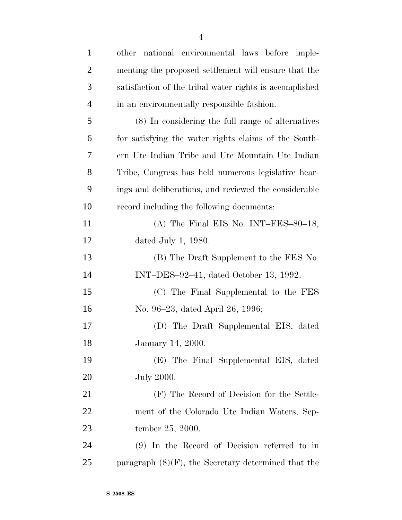| $\mathbf{1}$   | other national environmental laws before imple-         |
|----------------|---------------------------------------------------------|
| $\overline{2}$ | menting the proposed settlement will ensure that the    |
| 3              | satisfaction of the tribal water rights is accomplished |
| $\overline{4}$ | in an environmentally responsible fashion.              |
| 5              | (8) In considering the full range of alternatives       |
| 6              | for satisfying the water rights claims of the South-    |
| 7              | ern Ute Indian Tribe and Ute Mountain Ute Indian        |
| 8              | Tribe, Congress has held numerous legislative hear-     |
| 9              | ings and deliberations, and reviewed the considerable   |
| 10             | record including the following documents:               |
| 11             | (A) The Final EIS No. INT-FES-80-18,                    |
| 12             | dated July 1, $1980$ .                                  |
| 13             | (B) The Draft Supplement to the FES No.                 |
| 14             | INT-DES-92-41, dated October 13, 1992.                  |
| 15             | (C) The Final Supplemental to the FES                   |
| 16             | No. 96–23, dated April 26, 1996;                        |
| 17             | (D) The Draft Supplemental EIS, dated                   |
| 18             | January 14, 2000.                                       |
| 19             | (E) The Final Supplemental EIS, dated                   |
| 20             | <b>July 2000.</b>                                       |
| 21             | (F) The Record of Decision for the Settle-              |
| 22             | ment of the Colorado Ute Indian Waters, Sep-            |
| 23             | tember 25, 2000.                                        |
| 24             | $(9)$ In the Record of Decision referred to in          |
| 25             | paragraph $(8)(F)$ , the Secretary determined that the  |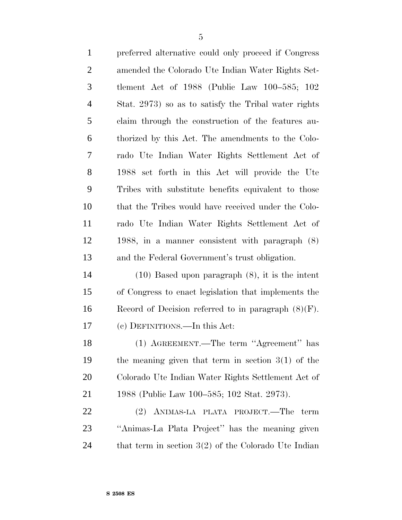| $\mathbf{1}$   | preferred alternative could only proceed if Congress   |
|----------------|--------------------------------------------------------|
| $\overline{2}$ | amended the Colorado Ute Indian Water Rights Set-      |
| 3              | tlement Act of 1988 (Public Law 100-585; 102           |
| $\overline{4}$ | Stat. 2973) so as to satisfy the Tribal water rights   |
| 5              | claim through the construction of the features au-     |
| 6              | thorized by this Act. The amendments to the Colo-      |
| $\overline{7}$ | rado Ute Indian Water Rights Settlement Act of         |
| 8              | 1988 set forth in this Act will provide the Ute        |
| 9              | Tribes with substitute benefits equivalent to those    |
| 10             | that the Tribes would have received under the Colo-    |
| 11             | rado Ute Indian Water Rights Settlement Act of         |
| 12             | 1988, in a manner consistent with paragraph $(8)$      |
| 13             | and the Federal Government's trust obligation.         |
| 14             | $(10)$ Based upon paragraph $(8)$ , it is the intent   |
| 15             | of Congress to enact legislation that implements the   |
| 16             | Record of Decision referred to in paragraph $(8)(F)$ . |
| 17             | (c) DEFINITIONS.—In this Act:                          |
| 18             | (1) AGREEMENT.—The term "Agreement" has                |
|                |                                                        |

 the meaning given that term in section 3(1) of the Colorado Ute Indian Water Rights Settlement Act of 1988 (Public Law 100–585; 102 Stat. 2973).

 (2) ANIMAS-LA PLATA PROJECT.—The term ''Animas-La Plata Project'' has the meaning given 24 that term in section 3(2) of the Colorado Ute Indian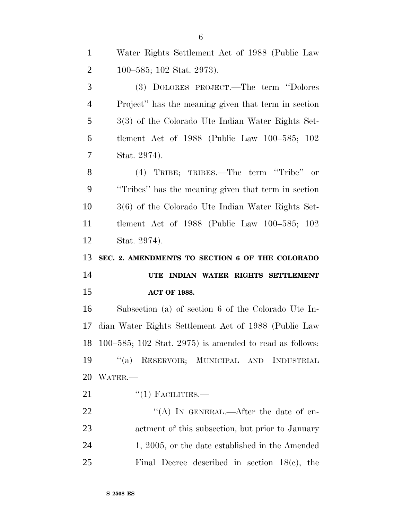Water Rights Settlement Act of 1988 (Public Law

 100–585; 102 Stat. 2973). (3) DOLORES PROJECT.—The term ''Dolores Project'' has the meaning given that term in section 3(3) of the Colorado Ute Indian Water Rights Set- tlement Act of 1988 (Public Law 100–585; 102 Stat. 2974). (4) TRIBE; TRIBES.—The term ''Tribe'' or ''Tribes'' has the meaning given that term in section 3(6) of the Colorado Ute Indian Water Rights Set- tlement Act of 1988 (Public Law 100–585; 102 Stat. 2974). **SEC. 2. AMENDMENTS TO SECTION 6 OF THE COLORADO UTE INDIAN WATER RIGHTS SETTLEMENT ACT OF 1988.** Subsection (a) of section 6 of the Colorado Ute In- dian Water Rights Settlement Act of 1988 (Public Law 100–585; 102 Stat. 2975) is amended to read as follows: ''(a) RESERVOIR; MUNICIPAL AND INDUSTRIAL WATER.—  $^{(1)}$  FACILITIES.

22 "'(A) In GENERAL.—After the date of en- actment of this subsection, but prior to January 24 1, 2005, or the date established in the Amended Final Decree described in section 18(c), the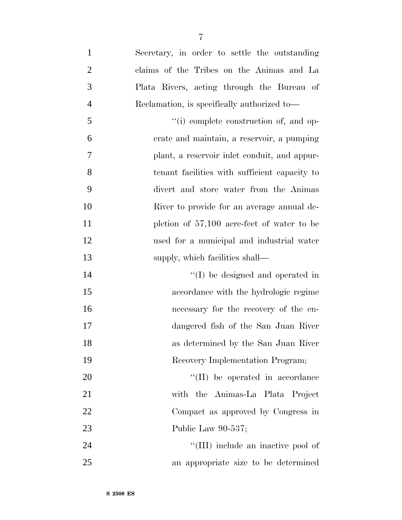| $\mathbf{1}$   | Secretary, in order to settle the outstanding |
|----------------|-----------------------------------------------|
| $\overline{2}$ | claims of the Tribes on the Animas and La     |
| 3              | Plata Rivers, acting through the Bureau of    |
| $\overline{4}$ | Reclamation, is specifically authorized to—   |
| 5              | "(i) complete construction of, and op-        |
| 6              | erate and maintain, a reservoir, a pumping    |
| 7              | plant, a reservoir inlet conduit, and appur-  |
| 8              | tenant facilities with sufficient capacity to |
| 9              | divert and store water from the Animas        |
| 10             | River to provide for an average annual de-    |
| 11             | pletion of $57,100$ acre-feet of water to be  |
| 12             | used for a municipal and industrial water     |
| 13             | supply, which facilities shall—               |
| 14             | $\lq\lq$ be designed and operated in          |
| 15             | accordance with the hydrologic regime         |
| 16             | necessary for the recovery of the en-         |
| 17             | dangered fish of the San Juan River           |
| 18             | as determined by the San Juan River           |
| 19             | Recovery Implementation Program;              |
| 20             | $\lq\lq$ (II) be operated in accordance       |
| 21             | with the Animas-La Plata Project              |
| 22             | Compact as approved by Congress in            |
| 23             | Public Law 90-537;                            |
| 24             | "(III) include an inactive pool of            |
| 25             | an appropriate size to be determined          |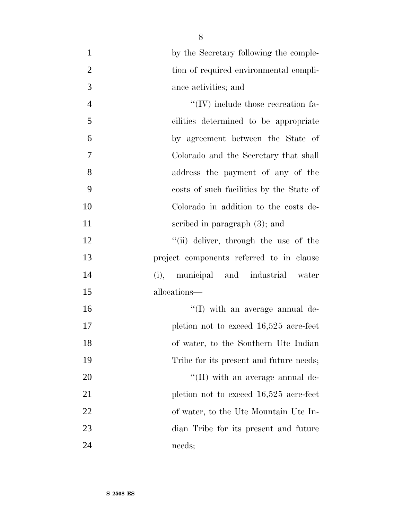| $\mathbf{1}$   | by the Secretary following the comple-     |
|----------------|--------------------------------------------|
| $\mathbf{2}$   | tion of required environmental compli-     |
| 3              | ance activities; and                       |
| $\overline{4}$ | $\lq\lq$ (IV) include those recreation fa- |
| 5              | cilities determined to be appropriate      |
| 6              | by agreement between the State of          |
| $\tau$         | Colorado and the Secretary that shall      |
| 8              | address the payment of any of the          |
| 9              | costs of such facilities by the State of   |
| 10             | Colorado in addition to the costs de-      |
| 11             | scribed in paragraph (3); and              |
| 12             | "(ii) deliver, through the use of the      |
| 13             | project components referred to in clause   |
| 14             | municipal and industrial water<br>(i),     |
| 15             | allocations—                               |
| 16             | "(I) with an average annual de-            |
| 17             | pletion not to exceed $16,525$ acre-feet   |
| 18             | of water, to the Southern Ute Indian       |
| 19             | Tribe for its present and future needs;    |
| 20             | $\lq$ (II) with an average annual de-      |
| 21             | pletion not to exceed 16,525 acre-feet     |
| 22             | of water, to the Ute Mountain Ute In-      |
| 23             | dian Tribe for its present and future      |
| 24             | needs;                                     |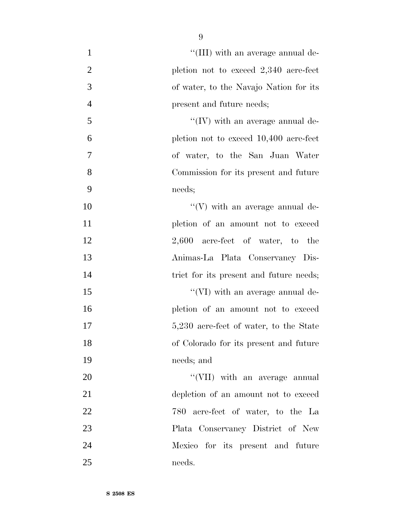| $\mathbf{1}$   | "(III) with an average annual de-        |
|----------------|------------------------------------------|
| $\overline{2}$ | pletion not to exceed $2,340$ acre-feet  |
| 3              | of water, to the Navajo Nation for its   |
| $\overline{4}$ | present and future needs;                |
| 5              | $\lq\lq$ (IV) with an average annual de- |
| 6              | pletion not to exceed 10,400 acre-feet   |
| 7              | of water, to the San Juan Water          |
| 8              | Commission for its present and future    |
| 9              | needs;                                   |
| 10             | $\lq\lq(V)$ with an average annual de-   |
| 11             | pletion of an amount not to exceed       |
| 12             | $2,600$ acre-feet of water, to the       |
| 13             | Animas-La Plata Conservancy Dis-         |
| 14             | trict for its present and future needs;  |
| 15             | $\lq\lq$ (VI) with an average annual de- |
| 16             | pletion of an amount not to exceed       |
| 17             | 5,230 acre-feet of water, to the State   |
| 18             | of Colorado for its present and future   |
| 19             | needs; and                               |
| 20             | "(VII) with an average annual            |
| 21             | depletion of an amount not to exceed     |
| 22             | 780 acre-feet of water, to the La        |
| 23             | Plata Conservancy District of New        |
| 24             | Mexico for its present and future        |
| 25             | needs.                                   |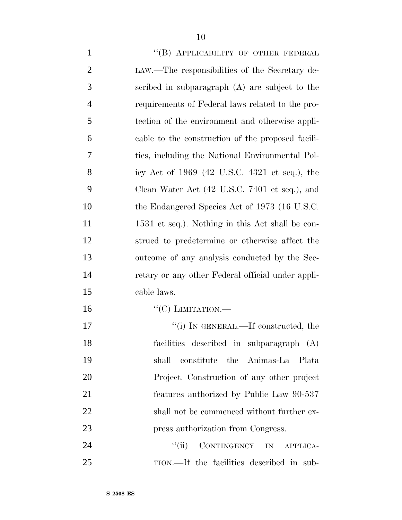| $\mathbf{1}$   | "(B) APPLICABILITY OF OTHER FEDERAL               |
|----------------|---------------------------------------------------|
| $\overline{2}$ | LAW.—The responsibilities of the Secretary de-    |
| 3              | scribed in subparagraph $(A)$ are subject to the  |
| $\overline{4}$ | requirements of Federal laws related to the pro-  |
| 5              | tection of the environment and otherwise appli-   |
| 6              | cable to the construction of the proposed facili- |
| $\tau$         | ties, including the National Environmental Pol-   |
| 8              | icy Act of 1969 (42 U.S.C. 4321 et seq.), the     |
| 9              | Clean Water Act (42 U.S.C. 7401 et seq.), and     |
| 10             | the Endangered Species Act of 1973 (16 U.S.C.     |
| 11             | 1531 et seq.). Nothing in this Act shall be con-  |
| 12             | strued to predetermine or otherwise affect the    |
| 13             | outcome of any analysis conducted by the Sec-     |
| 14             | retary or any other Federal official under appli- |
| 15             | cable laws.                                       |
| 16             | $``(C)$ LIMITATION.—                              |
| 17             | "(i) IN GENERAL.—If constructed, the              |
| 18             | facilities described in subparagraph (A)          |
| 19             | constitute the Animas-La Plata<br>shall           |
| 20             | Project. Construction of any other project        |
| 21             | features authorized by Public Law 90-537          |

 press authorization from Congress. 24 "(ii) CONTINGENCY IN APPLICA-

TION.—If the facilities described in sub-

shall not be commenced without further ex-

**S 2508 ES**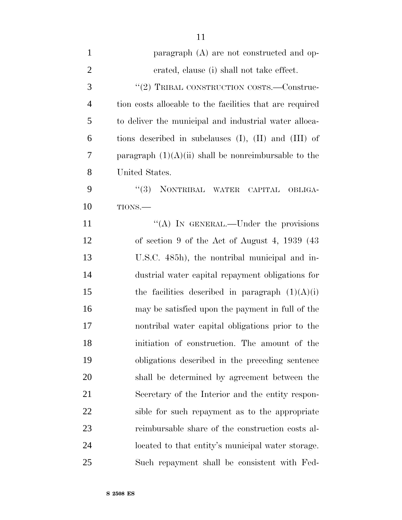| $\mathbf{1}$   | paragraph (A) are not constructed and op-                   |
|----------------|-------------------------------------------------------------|
| $\overline{2}$ | erated, clause (i) shall not take effect.                   |
| 3              | "(2) TRIBAL CONSTRUCTION COSTS.—Construc-                   |
| $\overline{4}$ | tion costs allocable to the facilities that are required    |
| 5              | to deliver the municipal and industrial water alloca-       |
| 6              | tions described in subclauses $(I)$ , $(II)$ and $(III)$ of |
| 7              | paragraph $(1)(A)(ii)$ shall be nonreimbursable to the      |
| 8              | United States.                                              |
| 9              | (3)<br>NONTRIBAL WATER CAPITAL<br>OBLIGA-                   |
| 10             | TIONS.                                                      |
| 11             | "(A) IN GENERAL.—Under the provisions                       |
| 12             | of section 9 of the Act of August 4, $1939(43)$             |
| 13             | U.S.C. 485h), the nontribal municipal and in-               |
| 14             | dustrial water capital repayment obligations for            |
| 15             | the facilities described in paragraph $(1)(A)(i)$           |
| 16             | may be satisfied upon the payment in full of the            |
| 17             | nontribal water capital obligations prior to the            |
| 18             | initiation of construction. The amount of the               |
| 19             | obligations described in the preceding sentence             |
| 20             | shall be determined by agreement between the                |
| 21             | Secretary of the Interior and the entity respon-            |
| 22             | sible for such repayment as to the appropriate              |
| 23             | reimbursable share of the construction costs al-            |
| 24             | located to that entity's municipal water storage.           |
| 25             | Such repayment shall be consistent with Fed-                |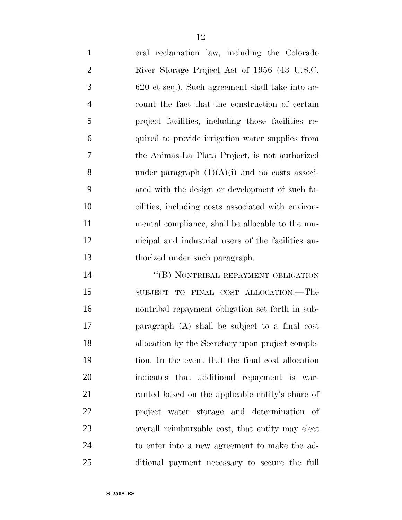| $\mathbf{1}$   | eral reclamation law, including the Colorado       |
|----------------|----------------------------------------------------|
| 2              | River Storage Project Act of 1956 (43 U.S.C.       |
| 3              | 620 et seq.). Such agreement shall take into ac-   |
| $\overline{4}$ | count the fact that the construction of certain    |
| 5              | project facilities, including those facilities re- |
| 6              | quired to provide irrigation water supplies from   |
| $\overline{7}$ | the Animas-La Plata Project, is not authorized     |
| 8              | under paragraph $(1)(A)(i)$ and no costs associ-   |
| 9              | ated with the design or development of such fa-    |
| 10             | cilities, including costs associated with environ- |
| 11             | mental compliance, shall be allocable to the mu-   |
| 12             | nicipal and industrial users of the facilities au- |
| 13             | thorized under such paragraph.                     |

14 "(B) NONTRIBAL REPAYMENT OBLIGATION SUBJECT TO FINAL COST ALLOCATION.—The nontribal repayment obligation set forth in sub- paragraph (A) shall be subject to a final cost allocation by the Secretary upon project comple- tion. In the event that the final cost allocation indicates that additional repayment is war- ranted based on the applicable entity's share of project water storage and determination of overall reimbursable cost, that entity may elect to enter into a new agreement to make the ad-ditional payment necessary to secure the full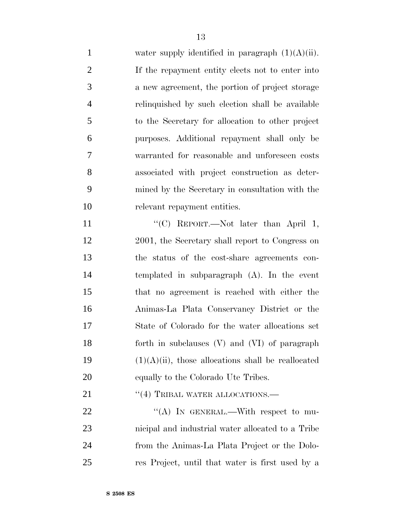| $\mathbf{1}$   | water supply identified in paragraph $(1)(A)(ii)$ .   |
|----------------|-------------------------------------------------------|
| $\mathbf{2}$   | If the repayment entity elects not to enter into      |
| 3              | a new agreement, the portion of project storage       |
| $\overline{4}$ | relinquished by such election shall be available      |
| 5              | to the Secretary for allocation to other project      |
| 6              | purposes. Additional repayment shall only be          |
| $\tau$         | warranted for reasonable and unforeseen costs         |
| 8              | associated with project construction as deter-        |
| 9              | mined by the Secretary in consultation with the       |
| 10             | relevant repayment entities.                          |
| 11             | "(C) REPORT.—Not later than April 1,                  |
| 12             | 2001, the Secretary shall report to Congress on       |
| 13             | the status of the cost-share agreements con-          |
| 14             | templated in subparagraph (A). In the event           |
| 15             | that no agreement is reached with either the          |
| 16             | Animas-La Plata Conservancy District or the           |
| 17             | State of Colorado for the water allocations set       |
| 18             | forth in subclauses (V) and (VI) of paragraph         |
| 19             | $(1)(A)(ii)$ , those allocations shall be reallocated |
| <b>20</b>      | equally to the Colorado Ute Tribes.                   |
| 21             | $``(4)$ TRIBAL WATER ALLOCATIONS.—                    |
| 22             | "(A) IN GENERAL.—With respect to mu-                  |
| 23             | nicipal and industrial water allocated to a Tribe     |
| 24             | from the Animas-La Plata Project or the Dolo-         |
| 25             | res Project, until that water is first used by a      |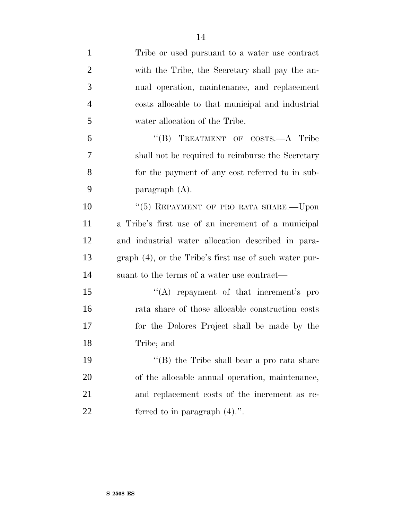| $\mathbf{1}$   | Tribe or used pursuant to a water use contract         |
|----------------|--------------------------------------------------------|
| $\overline{2}$ | with the Tribe, the Secretary shall pay the an-        |
| 3              | nual operation, maintenance, and replacement           |
| $\overline{4}$ | costs allocable to that municipal and industrial       |
| 5              | water allocation of the Tribe.                         |
| 6              | "(B) TREATMENT OF COSTS.—A Tribe                       |
| 7              | shall not be required to reimburse the Secretary       |
| 8              | for the payment of any cost referred to in sub-        |
| 9              | paragraph $(A)$ .                                      |
| 10             | "(5) REPAYMENT OF PRO RATA SHARE.-- Upon               |
| 11             | a Tribe's first use of an increment of a municipal     |
| 12             | and industrial water allocation described in para-     |
| 13             | graph (4), or the Tribe's first use of such water pur- |
| 14             | suant to the terms of a water use contract—            |
| 15             | $\lq\lq$ repayment of that increment's pro             |
| 16             | rata share of those allocable construction costs       |
| 17             | for the Dolores Project shall be made by the           |
| 18             | Tribe; and                                             |
| 19             | "(B) the Tribe shall bear a pro rata share             |
| 20             | of the allocable annual operation, maintenance,        |
| 21             | and replacement costs of the increment as re-          |
| 22             | ferred to in paragraph $(4)$ .".                       |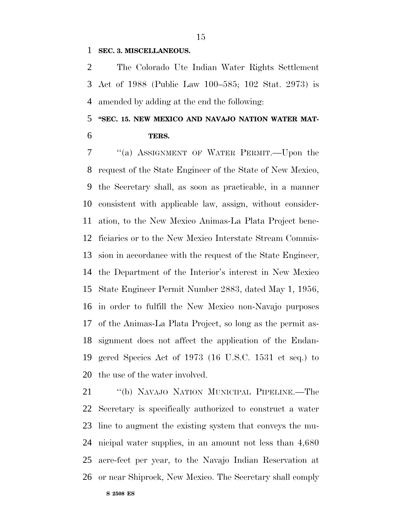#### **SEC. 3. MISCELLANEOUS.**

 The Colorado Ute Indian Water Rights Settlement Act of 1988 (Public Law 100–585; 102 Stat. 2973) is amended by adding at the end the following:

### **''SEC. 15. NEW MEXICO AND NAVAJO NATION WATER MAT-TERS.**

 ''(a) ASSIGNMENT OF WATER PERMIT.—Upon the request of the State Engineer of the State of New Mexico, the Secretary shall, as soon as practicable, in a manner consistent with applicable law, assign, without consider- ation, to the New Mexico Animas-La Plata Project bene- ficiaries or to the New Mexico Interstate Stream Commis- sion in accordance with the request of the State Engineer, the Department of the Interior's interest in New Mexico State Engineer Permit Number 2883, dated May 1, 1956, in order to fulfill the New Mexico non-Navajo purposes of the Animas-La Plata Project, so long as the permit as- signment does not affect the application of the Endan- gered Species Act of 1973 (16 U.S.C. 1531 et seq.) to the use of the water involved.

 ''(b) NAVAJO NATION MUNICIPAL PIPELINE.—The Secretary is specifically authorized to construct a water line to augment the existing system that conveys the mu- nicipal water supplies, in an amount not less than 4,680 acre-feet per year, to the Navajo Indian Reservation at or near Shiprock, New Mexico. The Secretary shall comply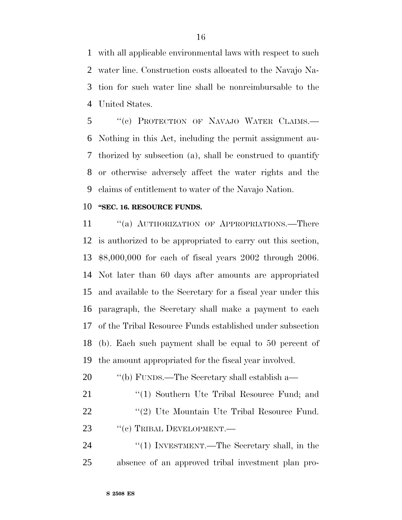with all applicable environmental laws with respect to such water line. Construction costs allocated to the Navajo Na- tion for such water line shall be nonreimbursable to the United States.

 ''(c) PROTECTION OF NAVAJO WATER CLAIMS.— Nothing in this Act, including the permit assignment au- thorized by subsection (a), shall be construed to quantify or otherwise adversely affect the water rights and the claims of entitlement to water of the Navajo Nation.

#### **''SEC. 16. RESOURCE FUNDS.**

11 "(a) AUTHORIZATION OF APPROPRIATIONS.—There is authorized to be appropriated to carry out this section, \$8,000,000 for each of fiscal years 2002 through 2006. Not later than 60 days after amounts are appropriated and available to the Secretary for a fiscal year under this paragraph, the Secretary shall make a payment to each of the Tribal Resource Funds established under subsection (b). Each such payment shall be equal to 50 percent of the amount appropriated for the fiscal year involved.

- ''(b) FUNDS.—The Secretary shall establish a—
- 21 "(1) Southern Ute Tribal Resource Fund; and 22 ''(2) Ute Mountain Ute Tribal Resource Fund. 23 "(c) TRIBAL DEVELOPMENT.—

24 ''(1) INVESTMENT.—The Secretary shall, in the absence of an approved tribal investment plan pro-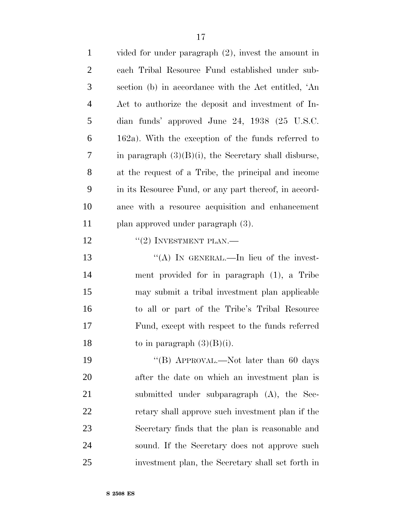| $\mathbf{1}$   | vided for under paragraph $(2)$ , invest the amount in   |
|----------------|----------------------------------------------------------|
| $\overline{2}$ | each Tribal Resource Fund established under sub-         |
| $\mathfrak{Z}$ | section (b) in accordance with the Act entitled, 'An     |
| $\overline{4}$ | Act to authorize the deposit and investment of In-       |
| 5              | dian funds' approved June 24, 1938 (25 U.S.C.            |
| 6              | $162a$ ). With the exception of the funds referred to    |
| 7              | in paragraph $(3)(B)(i)$ , the Secretary shall disburse, |
| 8              | at the request of a Tribe, the principal and income      |
| 9              | in its Resource Fund, or any part thereof, in accord-    |
| 10             | ance with a resource acquisition and enhancement         |
| 11             | plan approved under paragraph (3).                       |
| 12             | $``(2)$ INVESTMENT PLAN.—                                |
| 13             | "(A) IN GENERAL.—In lieu of the invest-                  |
| 14             | ment provided for in paragraph (1), a Tribe              |
| 15             | may submit a tribal investment plan applicable           |
| 16             | to all or part of the Tribe's Tribal Resource            |
| $17\,$         | Fund, except with respect to the funds referred          |
| 18             | to in paragraph $(3)(B)(i)$ .                            |
| 19             | "(B) APPROVAL.—Not later than 60 days                    |
| 20             | after the date on which an investment plan is            |
| 21             | submitted under subparagraph (A), the Sec-               |
| 22             | retary shall approve such investment plan if the         |
| 23             | Secretary finds that the plan is reasonable and          |
| 24             | sound. If the Secretary does not approve such            |
| 25             | investment plan, the Secretary shall set forth in        |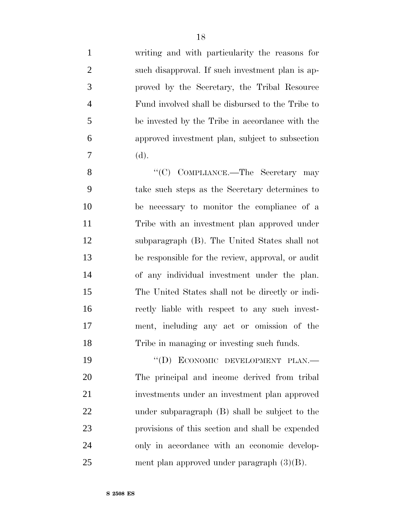| $\mathbf{1}$   | writing and with particularity the reasons for    |
|----------------|---------------------------------------------------|
| $\overline{2}$ | such disapproval. If such investment plan is ap-  |
| 3              | proved by the Secretary, the Tribal Resource      |
| $\overline{4}$ | Fund involved shall be disbursed to the Tribe to  |
| 5              | be invested by the Tribe in accordance with the   |
| 6              | approved investment plan, subject to subsection   |
| 7              | (d).                                              |
| 8              | "(C) COMPLIANCE.—The Secretary may                |
| 9              | take such steps as the Secretary determines to    |
| 10             | be necessary to monitor the compliance of a       |
| 11             | Tribe with an investment plan approved under      |
| 12             | subparagraph (B). The United States shall not     |
| 13             | be responsible for the review, approval, or audit |
| 14             | of any individual investment under the plan.      |
| 15             | The United States shall not be directly or indi-  |
| 16             | rectly liable with respect to any such invest-    |
| 17             | ment, including any act or omission of the        |
| 18             | Tribe in managing or investing such funds.        |
| 19             | "(D) ECONOMIC DEVELOPMENT PLAN.-                  |
| 20             | The principal and income derived from tribal      |
| 21             | investments under an investment plan approved     |
| 22             | under subparagraph (B) shall be subject to the    |
| 23             | provisions of this section and shall be expended  |
| 24             | only in accordance with an economic develop-      |
| 25             | ment plan approved under paragraph $(3)(B)$ .     |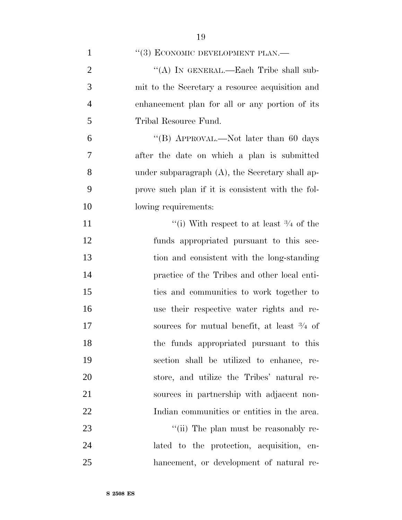| $\mathbf{1}$   | "(3) ECONOMIC DEVELOPMENT PLAN.—                      |
|----------------|-------------------------------------------------------|
| $\overline{2}$ | "(A) IN GENERAL.—Each Tribe shall sub-                |
| 3              | mit to the Secretary a resource acquisition and       |
| $\overline{4}$ | enhancement plan for all or any portion of its        |
| 5              | Tribal Resource Fund.                                 |
| 6              | "(B) APPROVAL.—Not later than 60 days                 |
| 7              | after the date on which a plan is submitted           |
| 8              | under subparagraph $(A)$ , the Secretary shall ap-    |
| 9              | prove such plan if it is consistent with the fol-     |
| 10             | lowing requirements:                                  |
| 11             | "(i) With respect to at least $\frac{3}{4}$ of the    |
| 12             | funds appropriated pursuant to this sec-              |
| 13             | tion and consistent with the long-standing            |
| 14             | practice of the Tribes and other local enti-          |
| 15             | ties and communities to work together to              |
| 16             | use their respective water rights and re-             |
| 17             | sources for mutual benefit, at least $\frac{3}{4}$ of |
| 18             | the funds appropriated pursuant to this               |
| 19             | section shall be utilized to enhance, re-             |
| 20             | store, and utilize the Tribes' natural re-            |
| 21             | sources in partnership with adjacent non-             |
| 22             | Indian communities or entities in the area.           |
| 23             | "(ii) The plan must be reasonably re-                 |
| 24             | lated to the protection, acquisition, en-             |
| 25             | hancement, or development of natural re-              |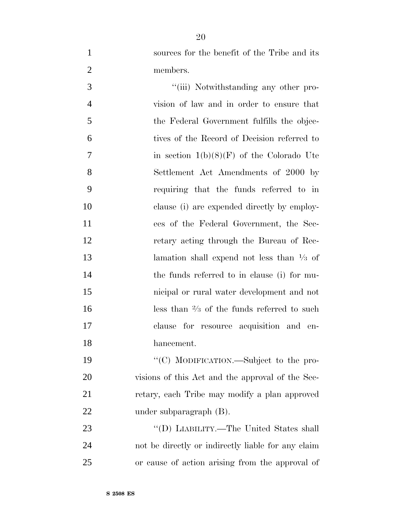sources for the benefit of the Tribe and its members.

 $\frac{1}{\text{(iii)}}$  Notwithstanding any other pro- vision of law and in order to ensure that the Federal Government fulfills the objec- tives of the Record of Decision referred to 7 in section  $1(b)(8)(F)$  of the Colorado Ute Settlement Act Amendments of 2000 by requiring that the funds referred to in clause (i) are expended directly by employ- ees of the Federal Government, the Sec- retary acting through the Bureau of Rec-**lamation** shall expend not less than  $\frac{1}{3}$  of the funds referred to in clause (i) for mu- nicipal or rural water development and not  $\log$  less than  $\frac{2}{3}$  of the funds referred to such clause for resource acquisition and en-hancement.

19 "'(C) MODIFICATION.—Subject to the pro- visions of this Act and the approval of the Sec- retary, each Tribe may modify a plan approved under subparagraph (B).

23 "'(D) LIABILITY.—The United States shall not be directly or indirectly liable for any claim or cause of action arising from the approval of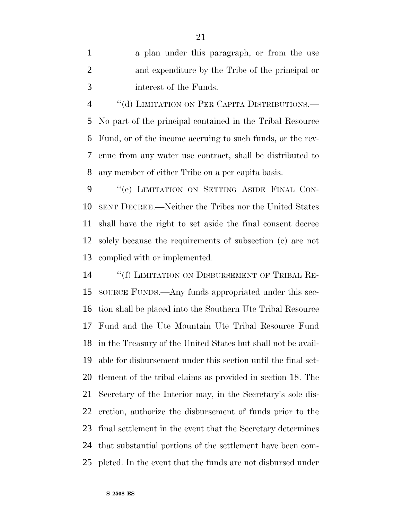a plan under this paragraph, or from the use and expenditure by the Tribe of the principal or interest of the Funds.

4 "(d) LIMITATION ON PER CAPITA DISTRIBUTIONS.— No part of the principal contained in the Tribal Resource Fund, or of the income accruing to such funds, or the rev- enue from any water use contract, shall be distributed to any member of either Tribe on a per capita basis.

9 "(e) LIMITATION ON SETTING ASIDE FINAL CON- SENT DECREE.—Neither the Tribes nor the United States shall have the right to set aside the final consent decree solely because the requirements of subsection (c) are not complied with or implemented.

 ''(f) LIMITATION ON DISBURSEMENT OF TRIBAL RE- SOURCE FUNDS.—Any funds appropriated under this sec- tion shall be placed into the Southern Ute Tribal Resource Fund and the Ute Mountain Ute Tribal Resource Fund in the Treasury of the United States but shall not be avail- able for disbursement under this section until the final set- tlement of the tribal claims as provided in section 18. The Secretary of the Interior may, in the Secretary's sole dis- cretion, authorize the disbursement of funds prior to the final settlement in the event that the Secretary determines that substantial portions of the settlement have been com-pleted. In the event that the funds are not disbursed under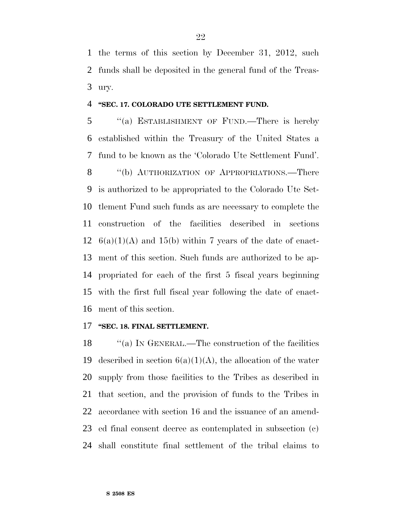the terms of this section by December 31, 2012, such funds shall be deposited in the general fund of the Treas-ury.

#### **''SEC. 17. COLORADO UTE SETTLEMENT FUND.**

 ''(a) ESTABLISHMENT OF FUND.—There is hereby established within the Treasury of the United States a fund to be known as the 'Colorado Ute Settlement Fund'. 8 "(b) AUTHORIZATION OF APPROPRIATIONS.—There is authorized to be appropriated to the Colorado Ute Set- tlement Fund such funds as are necessary to complete the construction of the facilities described in sections  $6(a)(1)(A)$  and 15(b) within 7 years of the date of enact- ment of this section. Such funds are authorized to be ap- propriated for each of the first 5 fiscal years beginning with the first full fiscal year following the date of enact-ment of this section.

#### **''SEC. 18. FINAL SETTLEMENT.**

18 "(a) IN GENERAL.—The construction of the facilities 19 described in section  $6(a)(1)(A)$ , the allocation of the water supply from those facilities to the Tribes as described in that section, and the provision of funds to the Tribes in accordance with section 16 and the issuance of an amend- ed final consent decree as contemplated in subsection (c) shall constitute final settlement of the tribal claims to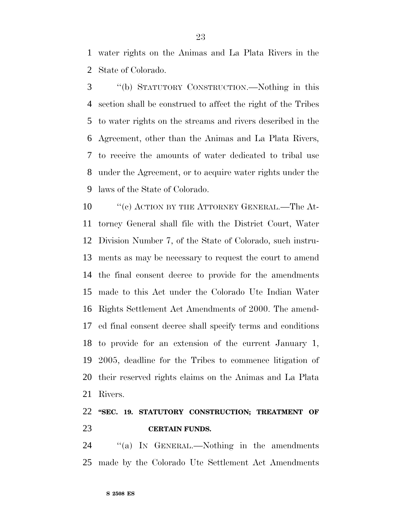water rights on the Animas and La Plata Rivers in the State of Colorado.

 ''(b) STATUTORY CONSTRUCTION.—Nothing in this section shall be construed to affect the right of the Tribes to water rights on the streams and rivers described in the Agreement, other than the Animas and La Plata Rivers, to receive the amounts of water dedicated to tribal use under the Agreement, or to acquire water rights under the laws of the State of Colorado.

10 " (c) ACTION BY THE ATTORNEY GENERAL.—The At- torney General shall file with the District Court, Water Division Number 7, of the State of Colorado, such instru- ments as may be necessary to request the court to amend the final consent decree to provide for the amendments made to this Act under the Colorado Ute Indian Water Rights Settlement Act Amendments of 2000. The amend- ed final consent decree shall specify terms and conditions to provide for an extension of the current January 1, 2005, deadline for the Tribes to commence litigation of their reserved rights claims on the Animas and La Plata Rivers.

### **''SEC. 19. STATUTORY CONSTRUCTION; TREATMENT OF CERTAIN FUNDS.**

24 "(a) IN GENERAL.—Nothing in the amendments made by the Colorado Ute Settlement Act Amendments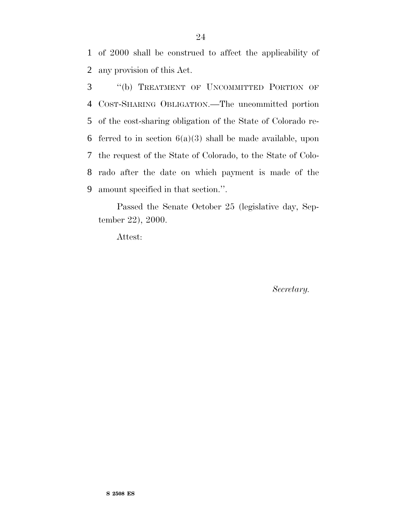1 of 2000 shall be construed to affect the applicability of 2 any provision of this Act.

 ''(b) TREATMENT OF UNCOMMITTED PORTION OF COST-SHARING OBLIGATION.—The uncommitted portion of the cost-sharing obligation of the State of Colorado re-6 ferred to in section  $6(a)(3)$  shall be made available, upon the request of the State of Colorado, to the State of Colo- rado after the date on which payment is made of the amount specified in that section.''.

Passed the Senate October 25 (legislative day, September 22), 2000.

Attest:

*Secretary.*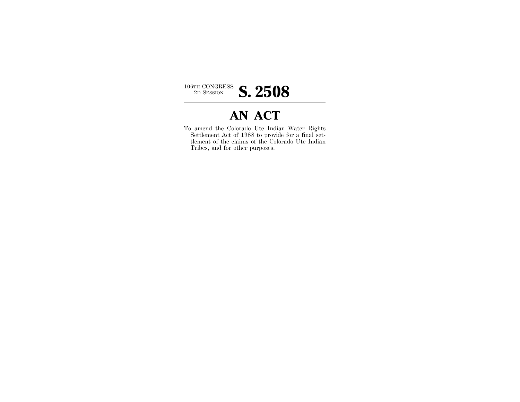

## **AN ACT**

To amend the Colorado Ute Indian Water Rights Settlement Act of 1988 to provide for a final settlement of the claims of the Colorado Ute Indian Tribes, and for other purposes.